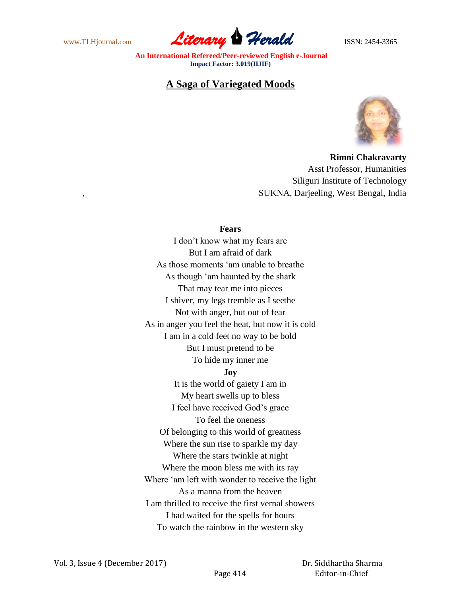www.TLHjournal.com **Literary Herald** ISSN: 2454-3365

# **A Saga of Variegated Moods**



**Rimni Chakravarty** Asst Professor, Humanities Siliguri Institute of Technology , SUKNA, Darjeeling, West Bengal, India

## **Fears**

I don't know what my fears are But I am afraid of dark As those moments 'am unable to breathe As though 'am haunted by the shark That may tear me into pieces I shiver, my legs tremble as I seethe Not with anger, but out of fear As in anger you feel the heat, but now it is cold I am in a cold feet no way to be bold But I must pretend to be To hide my inner me **Joy** It is the world of gaiety I am in My heart swells up to bless I feel have received God's grace To feel the oneness Of belonging to this world of greatness Where the sun rise to sparkle my day

Where the stars twinkle at night Where the moon bless me with its ray Where 'am left with wonder to receive the light As a manna from the heaven I am thrilled to receive the first vernal showers I had waited for the spells for hours To watch the rainbow in the western sky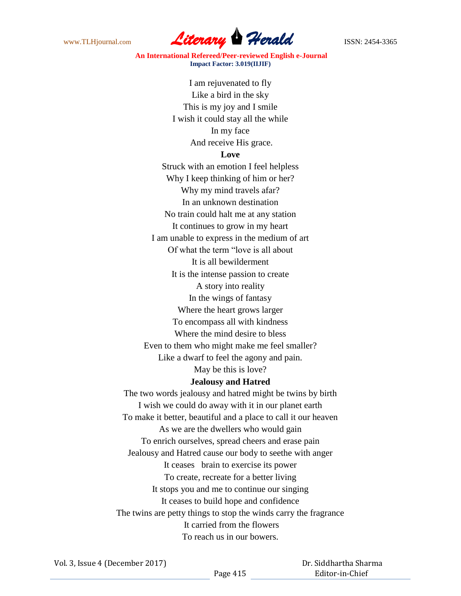

I am rejuvenated to fly Like a bird in the sky This is my joy and I smile I wish it could stay all the while In my face And receive His grace.

#### **Love**

Struck with an emotion I feel helpless Why I keep thinking of him or her? Why my mind travels afar? In an unknown destination No train could halt me at any station It continues to grow in my heart I am unable to express in the medium of art Of what the term "love is all about It is all bewilderment It is the intense passion to create A story into reality In the wings of fantasy Where the heart grows larger To encompass all with kindness Where the mind desire to bless Even to them who might make me feel smaller? Like a dwarf to feel the agony and pain. May be this is love?

### **Jealousy and Hatred**

The two words jealousy and hatred might be twins by birth I wish we could do away with it in our planet earth To make it better, beautiful and a place to call it our heaven As we are the dwellers who would gain To enrich ourselves, spread cheers and erase pain Jealousy and Hatred cause our body to seethe with anger It ceases brain to exercise its power To create, recreate for a better living It stops you and me to continue our singing It ceases to build hope and confidence The twins are petty things to stop the winds carry the fragrance It carried from the flowers To reach us in our bowers.

 Dr. Siddhartha Sharma Editor-in-Chief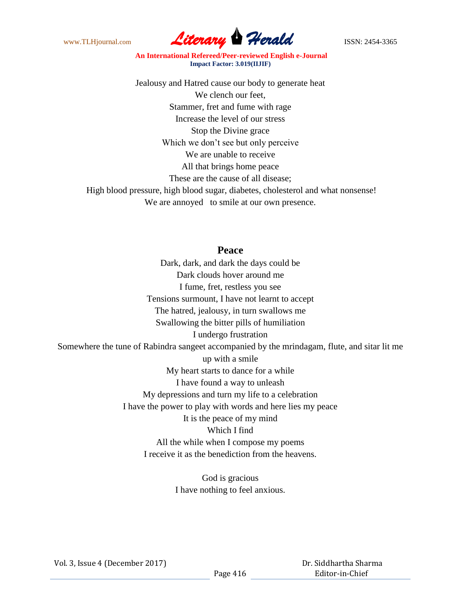

Jealousy and Hatred cause our body to generate heat We clench our feet, Stammer, fret and fume with rage Increase the level of our stress Stop the Divine grace Which we don't see but only perceive We are unable to receive All that brings home peace These are the cause of all disease; High blood pressure, high blood sugar, diabetes, cholesterol and what nonsense!

We are annoyed to smile at our own presence.

## **Peace**

Dark, dark, and dark the days could be Dark clouds hover around me I fume, fret, restless you see Tensions surmount, I have not learnt to accept The hatred, jealousy, in turn swallows me Swallowing the bitter pills of humiliation I undergo frustration Somewhere the tune of Rabindra sangeet accompanied by the mrindagam, flute, and sitar lit me up with a smile My heart starts to dance for a while I have found a way to unleash My depressions and turn my life to a celebration I have the power to play with words and here lies my peace It is the peace of my mind Which I find All the while when I compose my poems I receive it as the benediction from the heavens.

> God is gracious I have nothing to feel anxious.

Vol. 3, Issue 4 (December 2017)

 Dr. Siddhartha Sharma Editor-in-Chief